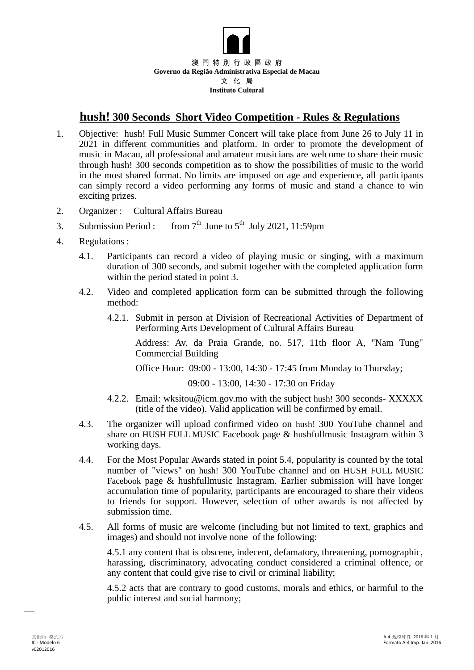

## **hush! 300 Seconds Short Video Competition - Rules & Regulations**

- 1. Objective: hush! Full Music Summer Concert will take place from June 26 to July 11 in 2021 in different communities and platform. In order to promote the development of music in Macau, all professional and amateur musicians are welcome to share their music through hush! 300 seconds competition as to show the possibilities of music to the world in the most shared format. No limits are imposed on age and experience, all participants can simply record a video performing any forms of music and stand a chance to win exciting prizes.
- 2. Organizer : Cultural Affairs Bureau
- 3. Submission Period : from  $7<sup>th</sup>$  June to  $5<sup>th</sup>$  July 2021, 11:59pm
- 4. Regulations :
	- 4.1. Participants can record a video of playing music or singing, with a maximum duration of 300 seconds, and submit together with the completed application form within the period stated in point 3.
	- 4.2. Video and completed application form can be submitted through the following method:
		- 4.2.1. Submit in person at Division of Recreational Activities of Department of Performing Arts Development of Cultural Affairs Bureau

Address: Av. da Praia Grande, no. 517, 11th floor A, "Nam Tung" Commercial Building

Office Hour: 09:00 - 13:00, 14:30 - 17:45 from Monday to Thursday;

09:00 - 13:00, 14:30 - 17:30 on Friday

- 4.2.2. Email: w[ksitou@icm.gov.mo](mailto:sitou@icm.gov.mo.) with the subject hush! 300 seconds- XXXXX (title of the video). Valid application will be confirmed by email.
- 4.3. The organizer will upload confirmed video on hush! 300 YouTube channel and share on HUSH FULL MUSIC Facebook page & hushfullmusic Instagram within 3 working days.
- 4.4. For the Most Popular Awards stated in point 5.4, popularity is counted by the total number of "views" on hush! 300 YouTube channel and on HUSH FULL MUSIC Facebook page & hushfullmusic Instagram. Earlier submission will have longer accumulation time of popularity, participants are encouraged to share their videos to friends for support. However, selection of other awards is not affected by submission time.
- 4.5. All forms of music are welcome (including but not limited to text, graphics and images) and should not involve none of the following:

4.5.1 any content that is obscene, indecent, defamatory, threatening, pornographic, harassing, discriminatory, advocating conduct considered a criminal offence, or any content that could give rise to civil or criminal liability;

4.5.2 acts that are contrary to good customs, morals and ethics, or harmful to the public interest and social harmony;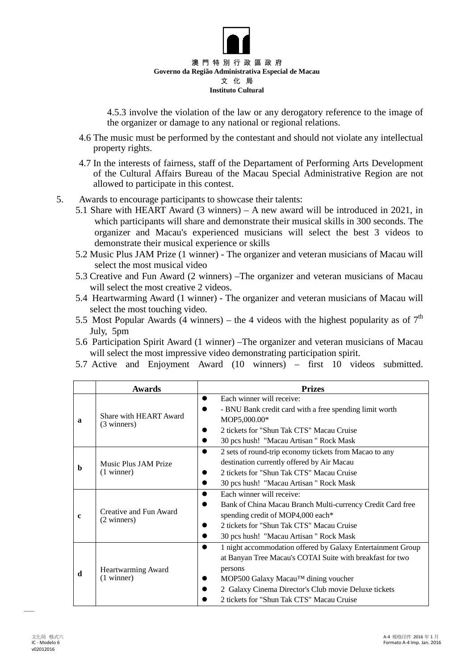

4.5.3 involve the violation of the law or any derogatory reference to the image of the organizer or damage to any national or regional relations.

- 4.6 The music must be performed by the contestant and should not violate any intellectual property rights.
- 4.7 In the interests of fairness, staff of the Departament of Performing Arts Development of the Cultural Affairs Bureau of the Macau Special Administrative Region are not allowed to participate in this contest.
- 5. Awards to encourage participants to showcase their talents:
	- 5.1 Share with HEART Award (3 winners) A new award will be introduced in 2021, in which participants will share and demonstrate their musical skills in 300 seconds. The organizer and Macau's experienced musicians will select the best 3 videos to demonstrate their musical experience or skills
	- 5.2 Music Plus JAM Prize (1 winner) The organizer and veteran musicians of Macau will select the most musical video
	- 5.3 Creative and Fun Award (2 winners) –The organizer and veteran musicians of Macau will select the most creative 2 videos.
	- 5.4 Heartwarming Award (1 winner) The organizer and veteran musicians of Macau will select the most touching video.
	- 5.5 Most Popular Awards (4 winners) the 4 videos with the highest popularity as of  $7<sup>th</sup>$ July, 5pm
	- 5.6 Participation Spirit Award (1 winner) –The organizer and veteran musicians of Macau will select the most impressive video demonstrating participation spirit.
	- 5.7 Active and Enjoyment Award (10 winners) first 10 videos submitted.

|             | <b>Awards</b>                         | <b>Prizes</b>                                                            |
|-------------|---------------------------------------|--------------------------------------------------------------------------|
| a           | Share with HEART Award<br>(3 winners) | Each winner will receive:<br>$\bullet$                                   |
|             |                                       | - BNU Bank credit card with a free spending limit worth                  |
|             |                                       | MOP5,000.00*                                                             |
|             |                                       | 2 tickets for "Shun Tak CTS" Macau Cruise                                |
|             |                                       | 30 pcs hush! "Macau Artisan" Rock Mask                                   |
| b           | Music Plus JAM Prize<br>$(1$ winner)  | 2 sets of round-trip economy tickets from Macao to any<br>$\bullet$      |
|             |                                       | destination currently offered by Air Macau                               |
|             |                                       | 2 tickets for "Shun Tak CTS" Macau Cruise                                |
|             |                                       | 30 pcs hush! "Macau Artisan" Rock Mask                                   |
| $\mathbf c$ | Creative and Fun Award<br>(2 winners) | Each winner will receive:<br>$\bullet$                                   |
|             |                                       | Bank of China Macau Branch Multi-currency Credit Card free               |
|             |                                       | spending credit of MOP4,000 each*                                        |
|             |                                       | 2 tickets for "Shun Tak CTS" Macau Cruise                                |
|             |                                       | 30 pcs hush! "Macau Artisan" Rock Mask                                   |
|             | Heartwarming Award<br>$(1$ winner)    | 1 night accommodation offered by Galaxy Entertainment Group<br>$\bullet$ |
| d           |                                       | at Banyan Tree Macau's COTAI Suite with breakfast for two                |
|             |                                       | persons                                                                  |
|             |                                       | MOP500 Galaxy Macau™ dining voucher                                      |
|             |                                       | 2 Galaxy Cinema Director's Club movie Deluxe tickets                     |
|             |                                       | 2 tickets for "Shun Tak CTS" Macau Cruise                                |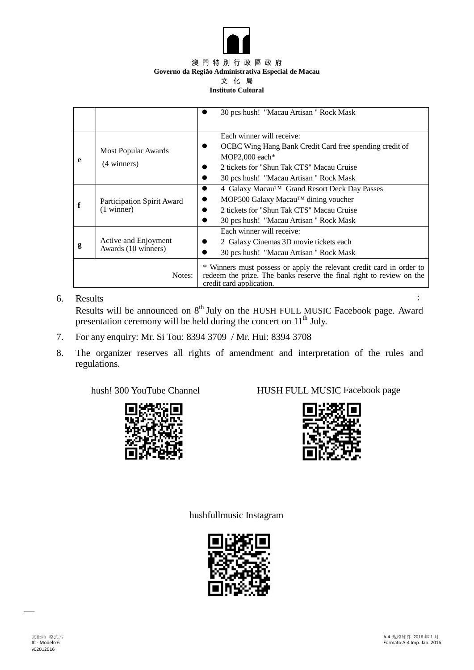

#### 澳 門 特 別 行 政 區 政 府 **Governo da Região Administrativa Especial de Macau** 文 化 局

#### **Instituto Cultural**

|        |                                             | 30 pcs hush! "Macau Artisan" Rock Mask                                                                                                                                                               |
|--------|---------------------------------------------|------------------------------------------------------------------------------------------------------------------------------------------------------------------------------------------------------|
| e      | <b>Most Popular Awards</b><br>(4 winners)   | Each winner will receive:<br>OCBC Wing Hang Bank Credit Card free spending credit of<br>MOP2,000 each $*$<br>2 tickets for "Shun Tak CTS" Macau Cruise<br>30 pcs hush! "Macau Artisan" Rock Mask     |
|        | Participation Spirit Award<br>$(1$ winner)  | 4 Galaxy Macau <sup>TM</sup> Grand Resort Deck Day Passes<br>$\bullet$<br>MOP500 Galaxy Macau™ dining voucher<br>2 tickets for "Shun Tak CTS" Macau Cruise<br>30 pcs hush! "Macau Artisan" Rock Mask |
| g      | Active and Enjoyment<br>Awards (10 winners) | Each winner will receive:<br>2 Galaxy Cinemas 3D movie tickets each<br>30 pcs hush! "Macau Artisan" Rock Mask                                                                                        |
| Notes: |                                             | * Winners must possess or apply the relevant credit card in order to<br>redeem the prize. The banks reserve the final right to review on the<br>credit card application.                             |

### 6. Results : Results will be announced on  $8<sup>th</sup>$  July on the HUSH FULL MUSIC Facebook page. Award presentation ceremony will be held during the concert on 11<sup>th</sup> July.

- 7. For any enquiry: Mr. Si Tou: 8394 3709 / Mr. Hui: 8394 3708
- 8. The organizer reserves all rights of amendment and interpretation of the rules and regulations.



hush! 300 YouTube Channel HUSH FULL MUSIC Facebook page



hushfullmusic Instagram